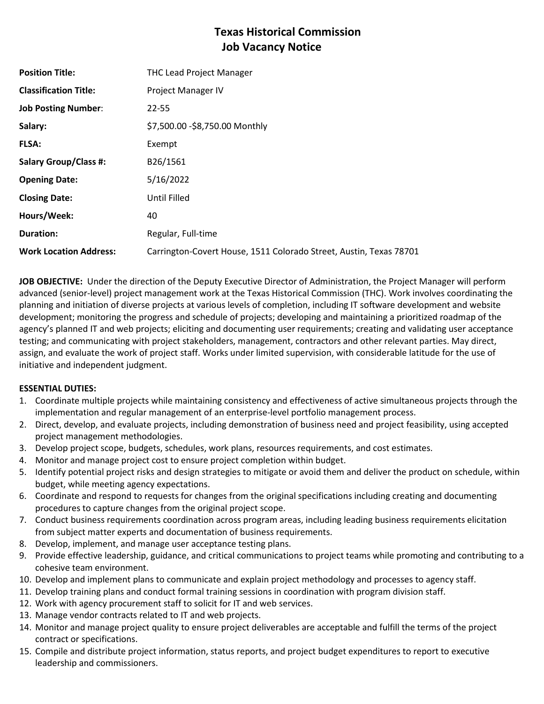# **Texas Historical Commission Job Vacancy Notice**

| <b>Position Title:</b>        | <b>THC Lead Project Manager</b>                                    |
|-------------------------------|--------------------------------------------------------------------|
| <b>Classification Title:</b>  | Project Manager IV                                                 |
| <b>Job Posting Number:</b>    | 22-55                                                              |
| Salary:                       | \$7,500.00 - \$8,750.00 Monthly                                    |
| <b>FLSA:</b>                  | Exempt                                                             |
| <b>Salary Group/Class #:</b>  | B26/1561                                                           |
| <b>Opening Date:</b>          | 5/16/2022                                                          |
| <b>Closing Date:</b>          | Until Filled                                                       |
| Hours/Week:                   | 40                                                                 |
| <b>Duration:</b>              | Regular, Full-time                                                 |
| <b>Work Location Address:</b> | Carrington-Covert House, 1511 Colorado Street, Austin, Texas 78701 |

**JOB OBJECTIVE:** Under the direction of the Deputy Executive Director of Administration, the Project Manager will perform advanced (senior-level) project management work at the Texas Historical Commission (THC). Work involves coordinating the planning and initiation of diverse projects at various levels of completion, including IT software development and website development; monitoring the progress and schedule of projects; developing and maintaining a prioritized roadmap of the agency's planned IT and web projects; eliciting and documenting user requirements; creating and validating user acceptance testing; and communicating with project stakeholders, management, contractors and other relevant parties. May direct, assign, and evaluate the work of project staff. Works under limited supervision, with considerable latitude for the use of initiative and independent judgment.

## **ESSENTIAL DUTIES:**

- 1. Coordinate multiple projects while maintaining consistency and effectiveness of active simultaneous projects through the implementation and regular management of an enterprise-level portfolio management process.
- 2. Direct, develop, and evaluate projects, including demonstration of business need and project feasibility, using accepted project management methodologies.
- 3. Develop project scope, budgets, schedules, work plans, resources requirements, and cost estimates.
- 4. Monitor and manage project cost to ensure project completion within budget.
- 5. Identify potential project risks and design strategies to mitigate or avoid them and deliver the product on schedule, within budget, while meeting agency expectations.
- 6. Coordinate and respond to requests for changes from the original specifications including creating and documenting procedures to capture changes from the original project scope.
- 7. Conduct business requirements coordination across program areas, including leading business requirements elicitation from subject matter experts and documentation of business requirements.
- 8. Develop, implement, and manage user acceptance testing plans.
- 9. Provide effective leadership, guidance, and critical communications to project teams while promoting and contributing to a cohesive team environment.
- 10. Develop and implement plans to communicate and explain project methodology and processes to agency staff.
- 11. Develop training plans and conduct formal training sessions in coordination with program division staff.
- 12. Work with agency procurement staff to solicit for IT and web services.
- 13. Manage vendor contracts related to IT and web projects.
- 14. Monitor and manage project quality to ensure project deliverables are acceptable and fulfill the terms of the project contract or specifications.
- 15. Compile and distribute project information, status reports, and project budget expenditures to report to executive leadership and commissioners.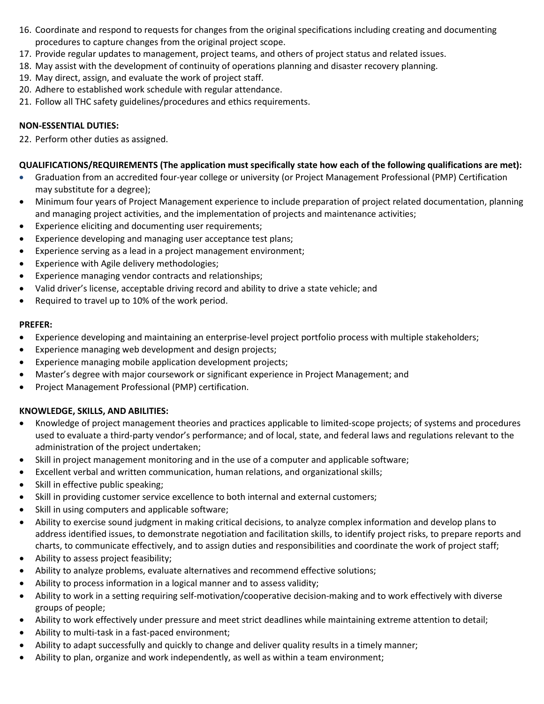- 16. Coordinate and respond to requests for changes from the original specifications including creating and documenting procedures to capture changes from the original project scope.
- 17. Provide regular updates to management, project teams, and others of project status and related issues.
- 18. May assist with the development of continuity of operations planning and disaster recovery planning.
- 19. May direct, assign, and evaluate the work of project staff.
- 20. Adhere to established work schedule with regular attendance.
- 21. Follow all THC safety guidelines/procedures and ethics requirements.

## **NON-ESSENTIAL DUTIES:**

22. Perform other duties as assigned.

## **QUALIFICATIONS/REQUIREMENTS (The application must specifically state how each of the following qualifications are met):**

- Graduation from an accredited four-year college or university (or Project Management Professional (PMP) Certification may substitute for a degree);
- Minimum four years of Project Management experience to include preparation of project related documentation, planning and managing project activities, and the implementation of projects and maintenance activities;
- Experience eliciting and documenting user requirements;
- Experience developing and managing user acceptance test plans;
- Experience serving as a lead in a project management environment;
- Experience with Agile delivery methodologies;
- Experience managing vendor contracts and relationships;
- Valid driver's license, acceptable driving record and ability to drive a state vehicle; and
- Required to travel up to 10% of the work period.

### **PREFER:**

- Experience developing and maintaining an enterprise-level project portfolio process with multiple stakeholders;
- Experience managing web development and design projects;
- Experience managing mobile application development projects;
- Master's degree with major coursework or significant experience in Project Management; and
- Project Management Professional (PMP) certification.

## **KNOWLEDGE, SKILLS, AND ABILITIES:**

- Knowledge of project management theories and practices applicable to limited-scope projects; of systems and procedures used to evaluate a third-party vendor's performance; and of local, state, and federal laws and regulations relevant to the administration of the project undertaken;
- Skill in project management monitoring and in the use of a computer and applicable software;
- Excellent verbal and written communication, human relations, and organizational skills;
- Skill in effective public speaking;
- Skill in providing customer service excellence to both internal and external customers;
- Skill in using computers and applicable software;
- Ability to exercise sound judgment in making critical decisions, to analyze complex information and develop plans to address identified issues, to demonstrate negotiation and facilitation skills, to identify project risks, to prepare reports and charts, to communicate effectively, and to assign duties and responsibilities and coordinate the work of project staff;
- Ability to assess project feasibility;
- Ability to analyze problems, evaluate alternatives and recommend effective solutions;
- Ability to process information in a logical manner and to assess validity;
- Ability to work in a setting requiring self-motivation/cooperative decision-making and to work effectively with diverse groups of people;
- Ability to work effectively under pressure and meet strict deadlines while maintaining extreme attention to detail;
- Ability to multi-task in a fast-paced environment;
- Ability to adapt successfully and quickly to change and deliver quality results in a timely manner;
- Ability to plan, organize and work independently, as well as within a team environment;